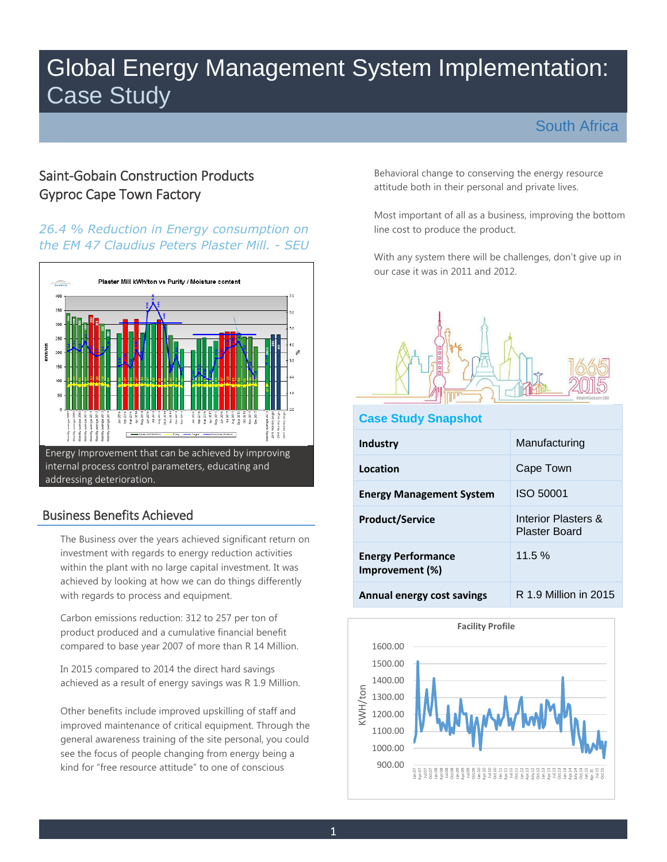# Global Energy Management System Implementation: Case Study

# South Africa

# Gyproc Cape Town Factory Saint-Gobain Construction Products

### *26.4 % Reduction in Energy consumption on the EM 47 Claudius Peters Plaster Mill. - SEU*



# Business Benefits Achieved

The Business over the years achieved significant return on investment with regards to energy reduction activities within the plant with no large capital investment. It was achieved by looking at how we can do things differently with regards to process and equipment.

Carbon emissions reduction: 312 to 257 per ton of product produced and a cumulative financial benefit compared to base year 2007 of more than R 14 Million.

In 2015 compared to 2014 the direct hard savings achieved as a result of energy savings was R 1.9 Million.

Other benefits include improved upskilling of staff and improved maintenance of critical equipment. Through the general awareness training of the site personal, you could see the focus of people changing from energy being a kind for "free resource attitude" to one of conscious

attitude both in their personal and private lives. Behavioral change to conserving the energy resource

Most important of all as a business, improving the bottom line cost to produce the product.

With any system there will be challenges, don't give up in our case it was in 2011 and 2012.



#### **Case Study Snapshot**

| <b>Industry</b>                              | Manufacturing                               |
|----------------------------------------------|---------------------------------------------|
| Location                                     | Cape Town                                   |
| <b>Energy Management System</b>              | ISO 50001                                   |
| <b>Product/Service</b>                       | Interior Plasters &<br><b>Plaster Board</b> |
| <b>Energy Performance</b><br>Improvement (%) | 11.5%                                       |
| Annual energy cost savings                   | R 1.9 Million in 2015                       |

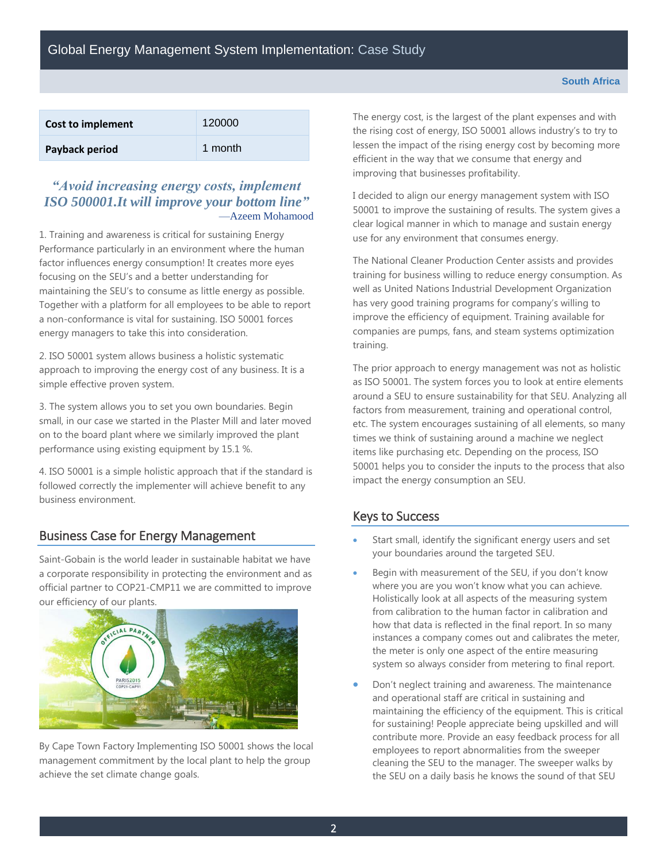| Cost to implement | 120000  |
|-------------------|---------|
| Payback period    | 1 month |

#### *"Avoid increasing energy costs, implement ISO 500001.It will improve your bottom line"* —Azeem Mohamood

1. Training and awareness is critical for sustaining Energy Performance particularly in an environment where the human factor influences energy consumption! It creates more eyes focusing on the SEU's and a better understanding for maintaining the SEU's to consume as little energy as possible. Together with a platform for all employees to be able to report a non-conformance is vital for sustaining. ISO 50001 forces energy managers to take this into consideration.

2. ISO 50001 system allows business a holistic systematic approach to improving the energy cost of any business. It is a simple effective proven system.

3. The system allows you to set you own boundaries. Begin small, in our case we started in the Plaster Mill and later moved on to the board plant where we similarly improved the plant performance using existing equipment by 15.1 %.

 business environment. 4. ISO 50001 is a simple holistic approach that if the standard is followed correctly the implementer will achieve benefit to any

## Business Case for Energy Management

 official partner to COP21-CMP11 we are committed to improve Saint-Gobain is the world leader in sustainable habitat we have a corporate responsibility in protecting the environment and as our efficiency of our plants.



By Cape Town Factory Implementing ISO 50001 shows the local management commitment by the local plant to help the group achieve the set climate change goals.

 efficient in the way that we consume that energy and The energy cost, is the largest of the plant expenses and with the rising cost of energy, ISO 50001 allows industry's to try to lessen the impact of the rising energy cost by becoming more improving that businesses profitability.

I decided to align our energy management system with ISO 50001 to improve the sustaining of results. The system gives a clear logical manner in which to manage and sustain energy use for any environment that consumes energy.

 training for business willing to reduce energy consumption. As The National Cleaner Production Center assists and provides well as United Nations Industrial Development Organization has very good training programs for company's willing to improve the efficiency of equipment. Training available for companies are pumps, fans, and steam systems optimization training.

 as ISO 50001. The system forces you to look at entire elements 50001 helps you to consider the inputs to the process that also impact the energy consumption an SEU. The prior approach to energy management was not as holistic around a SEU to ensure sustainability for that SEU. Analyzing all factors from measurement, training and operational control, etc. The system encourages sustaining of all elements, so many times we think of sustaining around a machine we neglect items like purchasing etc. Depending on the process, ISO

## Keys to Success

- Start small, identify the significant energy users and set your boundaries around the targeted SEU.
- from calibration to the human factor in calibration and how that data is reflected in the final report. In so many Begin with measurement of the SEU, if you don't know where you are you won't know what you can achieve. Holistically look at all aspects of the measuring system instances a company comes out and calibrates the meter, the meter is only one aspect of the entire measuring system so always consider from metering to final report.
- for sustaining! People appreciate being upskilled and will Don't neglect training and awareness. The maintenance and operational staff are critical in sustaining and maintaining the efficiency of the equipment. This is critical contribute more. Provide an easy feedback process for all employees to report abnormalities from the sweeper cleaning the SEU to the manager. The sweeper walks by the SEU on a daily basis he knows the sound of that SEU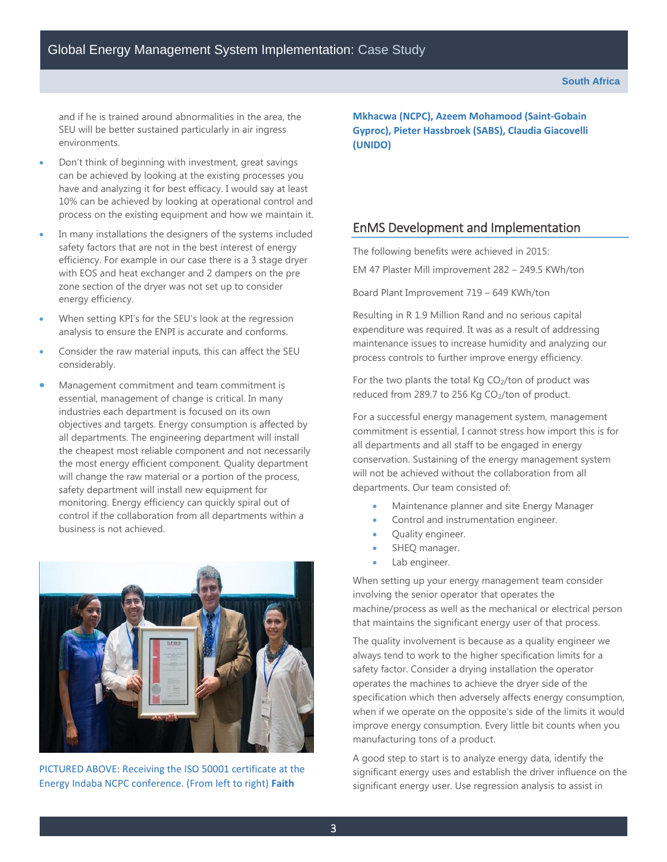and if he is trained around abnormalities in the area, the SEU will be better sustained particularly in air ingress environments.

- have and analyzing it for best efficacy. I would say at least Don't think of beginning with investment, great savings can be achieved by looking at the existing processes you 10% can be achieved by looking at operational control and process on the existing equipment and how we maintain it.
- In many installations the designers of the systems included safety factors that are not in the best interest of energy efficiency. For example in our case there is a 3 stage dryer with EOS and heat exchanger and 2 dampers on the pre zone section of the dryer was not set up to consider energy efficiency.
- When setting KPI's for the SEU's look at the regression analysis to ensure the ENPI is accurate and conforms.
- Consider the raw material inputs, this can affect the SEU considerably.
- all departments. The engineering department will install Management commitment and team commitment is essential, management of change is critical. In many industries each department is focused on its own objectives and targets. Energy consumption is affected by the cheapest most reliable component and not necessarily the most energy efficient component. Quality department will change the raw material or a portion of the process, safety department will install new equipment for monitoring. Energy efficiency can quickly spiral out of control if the collaboration from all departments within a business is not achieved.



PICTURED ABOVE: Receiving the ISO 50001 certificate at the Energy Indaba NCPC conference. (From left to right) **Faith** 

 **Gyproc), Pieter Hassbroek (SABS), Claudia Giacovelli (UNIDO) Mkhacwa (NCPC), Azeem Mohamood (Saint-Gobain** 

#### EnMS Development and Implementation

The following benefits were achieved in 2015:

EM 47 Plaster Mill improvement 282 – 249.5 KWh/ton

Board Plant Improvement 719 – 649 KWh/ton

process controls to further improve energy efficiency. Resulting in R 1.9 Million Rand and no serious capital expenditure was required. It was as a result of addressing maintenance issues to increase humidity and analyzing our

For the two plants the total Kg CO<sub>2</sub>/ton of product was reduced from 289.7 to 256 Kg CO<sub>2</sub>/ton of product.

For a successful energy management system, management commitment is essential, I cannot stress how import this is for all departments and all staff to be engaged in energy conservation. Sustaining of the energy management system will not be achieved without the collaboration from all departments. Our team consisted of:

- Maintenance planner and site Energy Manager
- Control and instrumentation engineer.
- Quality engineer.
- SHEQ manager.
- Lab engineer.

 involving the senior operator that operates the When setting up your energy management team consider machine/process as well as the mechanical or electrical person that maintains the significant energy user of that process.

The quality involvement is because as a quality engineer we always tend to work to the higher specification limits for a safety factor. Consider a drying installation the operator operates the machines to achieve the dryer side of the specification which then adversely affects energy consumption, when if we operate on the opposite's side of the limits it would improve energy consumption. Every little bit counts when you manufacturing tons of a product.

A good step to start is to analyze energy data, identify the significant energy uses and establish the driver influence on the significant energy user. Use regression analysis to assist in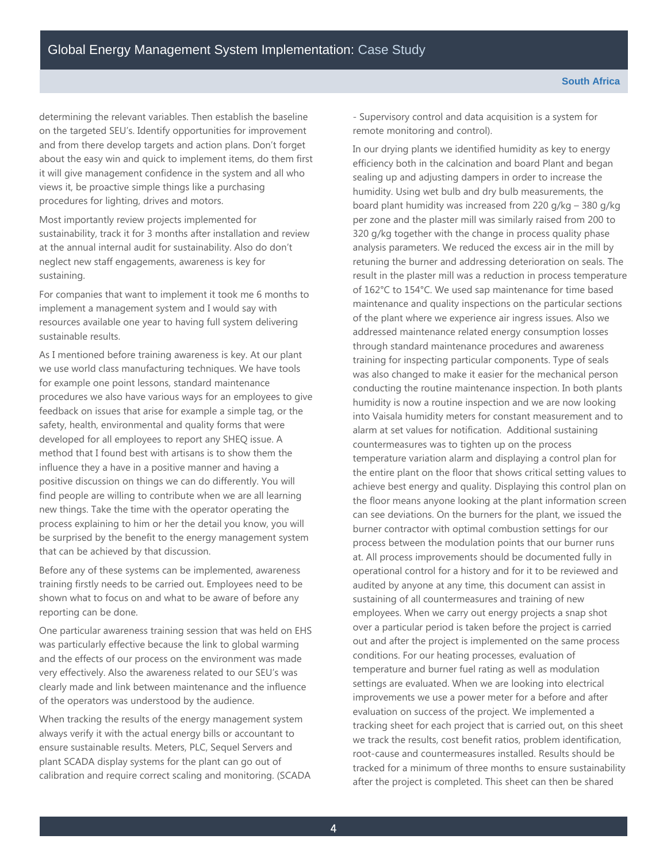determining the relevant variables. Then establish the baseline on the targeted SEU's. Identify opportunities for improvement and from there develop targets and action plans. Don't forget about the easy win and quick to implement items, do them first it will give management confidence in the system and all who views it, be proactive simple things like a purchasing procedures for lighting, drives and motors.

Most importantly review projects implemented for sustainability, track it for 3 months after installation and review at the annual internal audit for sustainability. Also do don't neglect new staff engagements, awareness is key for sustaining.<br>For companies that want to implement it took me 6 months to

implement a management system and I would say with resources available one year to having full system delivering sustainable results.<br>As I mentioned before training awareness is key. At our plant

 that can be achieved by that discussion. we use world class manufacturing techniques. We have tools for example one point lessons, standard maintenance procedures we also have various ways for an employees to give feedback on issues that arise for example a simple tag, or the safety, health, environmental and quality forms that were developed for all employees to report any SHEQ issue. A method that I found best with artisans is to show them the influence they a have in a positive manner and having a positive discussion on things we can do differently. You will find people are willing to contribute when we are all learning new things. Take the time with the operator operating the process explaining to him or her the detail you know, you will be surprised by the benefit to the energy management system

Before any of these systems can be implemented, awareness training firstly needs to be carried out. Employees need to be shown what to focus on and what to be aware of before any reporting can be done.

One particular awareness training session that was held on EHS was particularly effective because the link to global warming and the effects of our process on the environment was made very effectively. Also the awareness related to our SEU's was clearly made and link between maintenance and the influence of the operators was understood by the audience.

When tracking the results of the energy management system always verify it with the actual energy bills or accountant to ensure sustainable results. Meters, PLC, Sequel Servers and plant SCADA display systems for the plant can go out of calibration and require correct scaling and monitoring. (SCADA - Supervisory control and data acquisition is a system for remote monitoring and control).

 efficiency both in the calcination and board Plant and began analysis parameters. We reduced the excess air in the mill by retuning the burner and addressing deterioration on seals. The of 162°C to 154°C. We used sap maintenance for time based of the plant where we experience air ingress issues. Also we training for inspecting particular components. Type of seals conducting the routine maintenance inspection. In both plants alarm at set values for notification. Additional sustaining can see deviations. On the burners for the plant, we issued the at. All process improvements should be documented fully in employees. When we carry out energy projects a snap shot settings are evaluated. When we are looking into electrical In our drying plants we identified humidity as key to energy sealing up and adjusting dampers in order to increase the humidity. Using wet bulb and dry bulb measurements, the board plant humidity was increased from 220 g/kg – 380 g/kg per zone and the plaster mill was similarly raised from 200 to 320 g/kg together with the change in process quality phase result in the plaster mill was a reduction in process temperature maintenance and quality inspections on the particular sections addressed maintenance related energy consumption losses through standard maintenance procedures and awareness was also changed to make it easier for the mechanical person humidity is now a routine inspection and we are now looking into Vaisala humidity meters for constant measurement and to countermeasures was to tighten up on the process temperature variation alarm and displaying a control plan for the entire plant on the floor that shows critical setting values to achieve best energy and quality. Displaying this control plan on the floor means anyone looking at the plant information screen burner contractor with optimal combustion settings for our process between the modulation points that our burner runs operational control for a history and for it to be reviewed and audited by anyone at any time, this document can assist in sustaining of all countermeasures and training of new over a particular period is taken before the project is carried out and after the project is implemented on the same process conditions. For our heating processes, evaluation of temperature and burner fuel rating as well as modulation improvements we use a power meter for a before and after evaluation on success of the project. We implemented a tracking sheet for each project that is carried out, on this sheet we track the results, cost benefit ratios, problem identification, root-cause and countermeasures installed. Results should be tracked for a minimum of three months to ensure sustainability after the project is completed. This sheet can then be shared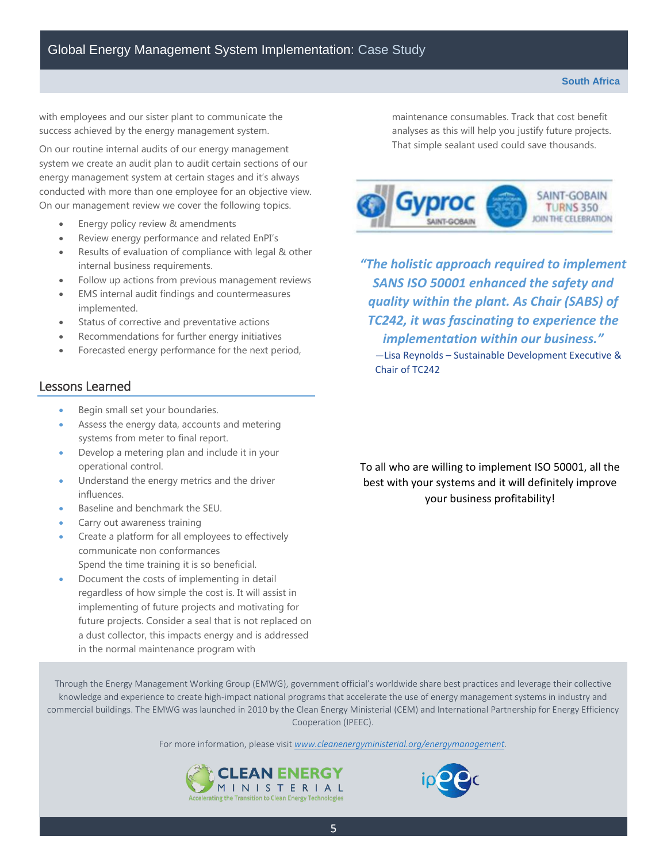with employees and our sister plant to communicate the success achieved by the energy management system.

On our routine internal audits of our energy management system we create an audit plan to audit certain sections of our energy management system at certain stages and it's always conducted with more than one employee for an objective view. On our management review we cover the following topics.

- Energy policy review & amendments
- Review energy performance and related EnPI's
- Results of evaluation of compliance with legal & other internal business requirements.
- Follow up actions from previous management reviews
- EMS internal audit findings and countermeasures implemented.
- Status of corrective and preventative actions
- Recommendations for further energy initiatives
- Forecasted energy performance for the next period,

#### Lessons Learned

- Begin small set your boundaries.
- Assess the energy data, accounts and metering systems from meter to final report.
- Develop a metering plan and include it in your operational control.
- Understand the energy metrics and the driver influences.
- Baseline and benchmark the SEU.
- Carry out awareness training
- Create a platform for all employees to effectively communicate non conformances Spend the time training it is so beneficial.
- Document the costs of implementing in detail regardless of how simple the cost is. It will assist in implementing of future projects and motivating for future projects. Consider a seal that is not replaced on a dust collector, this impacts energy and is addressed in the normal maintenance program with

maintenance consumables. Track that cost benefit analyses as this will help you justify future projects. That simple sealant used could save thousands.



 *TC242, it was fascinating to experience the "The holistic approach required to implement SANS ISO 50001 enhanced the safety and quality within the plant. As Chair (SABS) of implementation within our business."*

—Lisa Reynolds – Sustainable Development Executive & Chair of TC242

To all who are willing to implement ISO 50001, all the best with your systems and it will definitely improve your business profitability!

Through the Energy Management Working Group (EMWG), government official's worldwide share best practices and leverage their collective knowledge and experience to create high-impact national programs that accelerate the use of energy management systems in industry and commercial buildings. The EMWG was launched in 2010 by the Clean Energy Ministerial (CEM) and International Partnership for Energy Efficiency Cooperation (IPEEC).

For more information, please visit *[www.cleanenergyministerial.org/energymanagement.](http://www.cleanenergyministerial.org/energymanagement)*